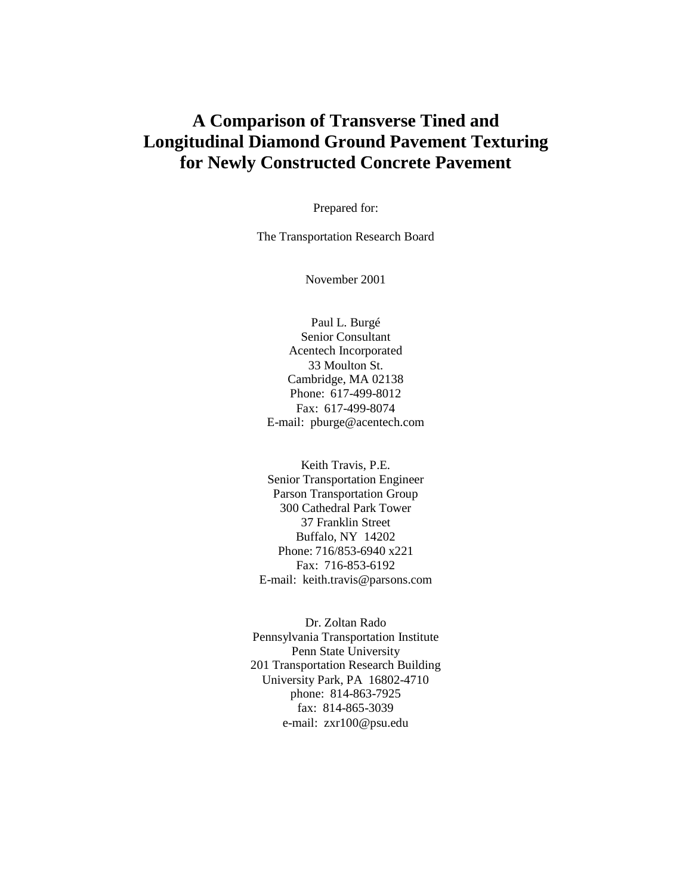# **A Comparison of Transverse Tined and Longitudinal Diamond Ground Pavement Texturing for Newly Constructed Concrete Pavement**

Prepared for:

The Transportation Research Board

November 2001

Paul L. Burgé Senior Consultant Acentech Incorporated 33 Moulton St. Cambridge, MA 02138 Phone: 617-499-8012 Fax: 617-499-8074 E-mail: pburge@acentech.com

Keith Travis, P.E. Senior Transportation Engineer Parson Transportation Group 300 Cathedral Park Tower 37 Franklin Street Buffalo, NY 14202 Phone: 716/853-6940 x221 Fax: 716-853-6192 E-mail: keith.travis@parsons.com

Dr. Zoltan Rado Pennsylvania Transportation Institute Penn State University 201 Transportation Research Building University Park, PA 16802-4710 phone: 814-863-7925 fax: 814-865-3039 e-mail: zxr100@psu.edu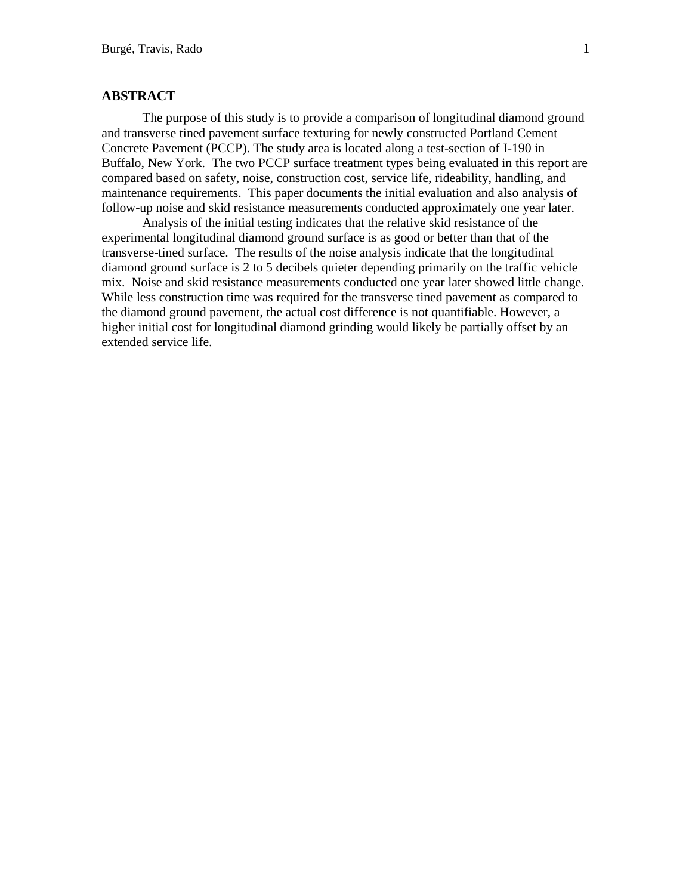## **ABSTRACT**

The purpose of this study is to provide a comparison of longitudinal diamond ground and transverse tined pavement surface texturing for newly constructed Portland Cement Concrete Pavement (PCCP). The study area is located along a test-section of I-190 in Buffalo, New York. The two PCCP surface treatment types being evaluated in this report are compared based on safety, noise, construction cost, service life, rideability, handling, and maintenance requirements. This paper documents the initial evaluation and also analysis of follow-up noise and skid resistance measurements conducted approximately one year later.

Analysis of the initial testing indicates that the relative skid resistance of the experimental longitudinal diamond ground surface is as good or better than that of the transverse-tined surface. The results of the noise analysis indicate that the longitudinal diamond ground surface is 2 to 5 decibels quieter depending primarily on the traffic vehicle mix. Noise and skid resistance measurements conducted one year later showed little change. While less construction time was required for the transverse tined pavement as compared to the diamond ground pavement, the actual cost difference is not quantifiable. However, a higher initial cost for longitudinal diamond grinding would likely be partially offset by an extended service life.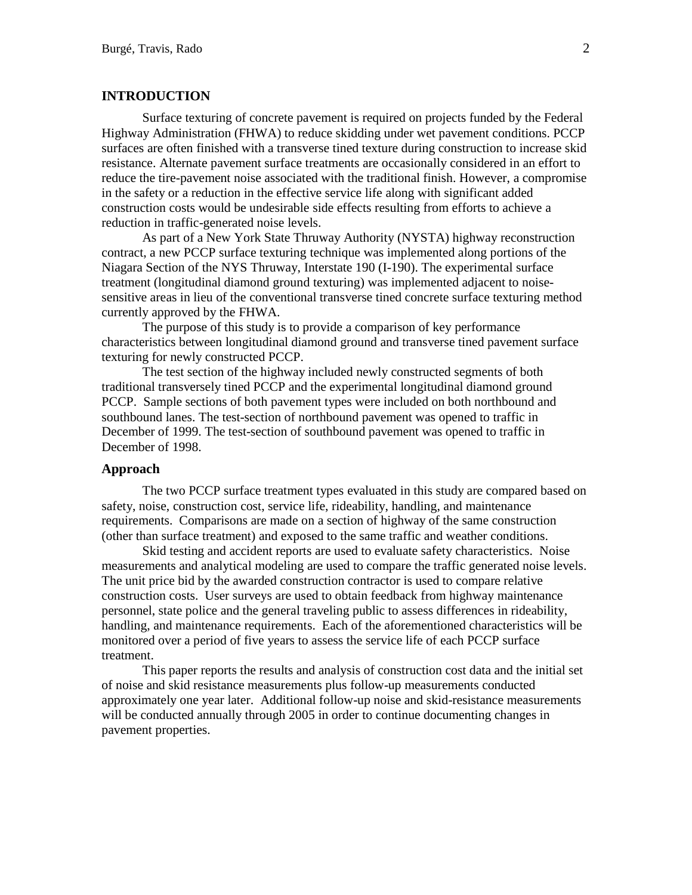## **INTRODUCTION**

Surface texturing of concrete pavement is required on projects funded by the Federal Highway Administration (FHWA) to reduce skidding under wet pavement conditions. PCCP surfaces are often finished with a transverse tined texture during construction to increase skid resistance. Alternate pavement surface treatments are occasionally considered in an effort to reduce the tire-pavement noise associated with the traditional finish. However, a compromise in the safety or a reduction in the effective service life along with significant added construction costs would be undesirable side effects resulting from efforts to achieve a reduction in traffic-generated noise levels.

As part of a New York State Thruway Authority (NYSTA) highway reconstruction contract, a new PCCP surface texturing technique was implemented along portions of the Niagara Section of the NYS Thruway, Interstate 190 (I-190). The experimental surface treatment (longitudinal diamond ground texturing) was implemented adjacent to noisesensitive areas in lieu of the conventional transverse tined concrete surface texturing method currently approved by the FHWA.

The purpose of this study is to provide a comparison of key performance characteristics between longitudinal diamond ground and transverse tined pavement surface texturing for newly constructed PCCP.

The test section of the highway included newly constructed segments of both traditional transversely tined PCCP and the experimental longitudinal diamond ground PCCP. Sample sections of both pavement types were included on both northbound and southbound lanes. The test-section of northbound pavement was opened to traffic in December of 1999. The test-section of southbound pavement was opened to traffic in December of 1998.

#### **Approach**

The two PCCP surface treatment types evaluated in this study are compared based on safety, noise, construction cost, service life, rideability, handling, and maintenance requirements. Comparisons are made on a section of highway of the same construction (other than surface treatment) and exposed to the same traffic and weather conditions.

Skid testing and accident reports are used to evaluate safety characteristics. Noise measurements and analytical modeling are used to compare the traffic generated noise levels. The unit price bid by the awarded construction contractor is used to compare relative construction costs. User surveys are used to obtain feedback from highway maintenance personnel, state police and the general traveling public to assess differences in rideability, handling, and maintenance requirements. Each of the aforementioned characteristics will be monitored over a period of five years to assess the service life of each PCCP surface treatment.

This paper reports the results and analysis of construction cost data and the initial set of noise and skid resistance measurements plus follow-up measurements conducted approximately one year later. Additional follow-up noise and skid-resistance measurements will be conducted annually through 2005 in order to continue documenting changes in pavement properties.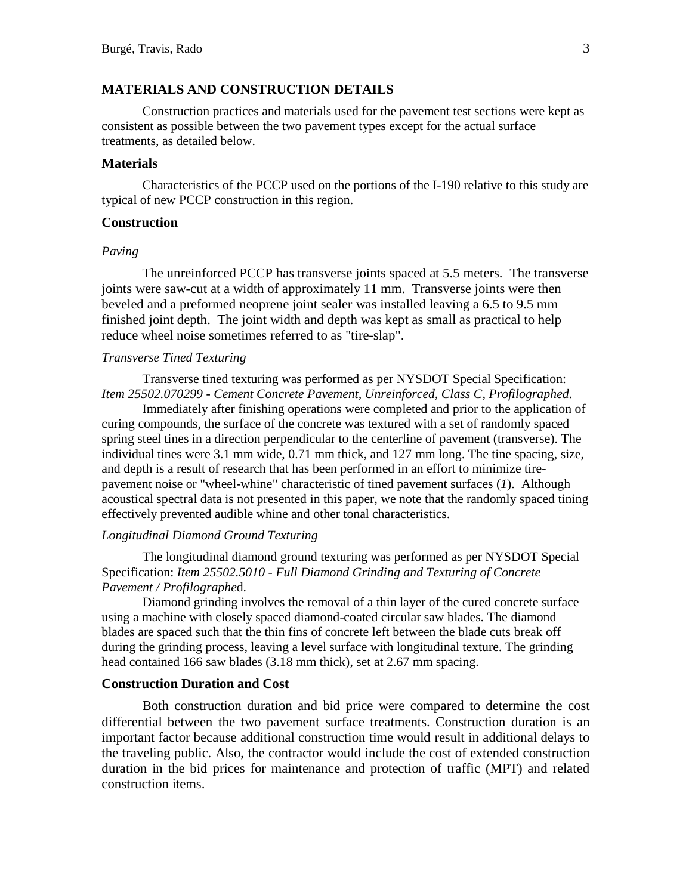## **MATERIALS AND CONSTRUCTION DETAILS**

Construction practices and materials used for the pavement test sections were kept as consistent as possible between the two pavement types except for the actual surface treatments, as detailed below.

### **Materials**

Characteristics of the PCCP used on the portions of the I-190 relative to this study are typical of new PCCP construction in this region.

#### **Construction**

#### *Paving*

The unreinforced PCCP has transverse joints spaced at 5.5 meters. The transverse joints were saw-cut at a width of approximately 11 mm. Transverse joints were then beveled and a preformed neoprene joint sealer was installed leaving a 6.5 to 9.5 mm finished joint depth. The joint width and depth was kept as small as practical to help reduce wheel noise sometimes referred to as "tire-slap".

#### *Transverse Tined Texturing*

Transverse tined texturing was performed as per NYSDOT Special Specification: *Item 25502.070299 - Cement Concrete Pavement, Unreinforced, Class C, Profilographed*.

Immediately after finishing operations were completed and prior to the application of curing compounds, the surface of the concrete was textured with a set of randomly spaced spring steel tines in a direction perpendicular to the centerline of pavement (transverse). The individual tines were 3.1 mm wide, 0.71 mm thick, and 127 mm long. The tine spacing, size, and depth is a result of research that has been performed in an effort to minimize tirepavement noise or "wheel-whine" characteristic of tined pavement surfaces (*1*). Although acoustical spectral data is not presented in this paper, we note that the randomly spaced tining effectively prevented audible whine and other tonal characteristics.

## *Longitudinal Diamond Ground Texturing*

The longitudinal diamond ground texturing was performed as per NYSDOT Special Specification: *Item 25502.5010 - Full Diamond Grinding and Texturing of Concrete Pavement / Profilographe*d.

Diamond grinding involves the removal of a thin layer of the cured concrete surface using a machine with closely spaced diamond-coated circular saw blades. The diamond blades are spaced such that the thin fins of concrete left between the blade cuts break off during the grinding process, leaving a level surface with longitudinal texture. The grinding head contained 166 saw blades (3.18 mm thick), set at 2.67 mm spacing.

#### **Construction Duration and Cost**

Both construction duration and bid price were compared to determine the cost differential between the two pavement surface treatments. Construction duration is an important factor because additional construction time would result in additional delays to the traveling public. Also, the contractor would include the cost of extended construction duration in the bid prices for maintenance and protection of traffic (MPT) and related construction items.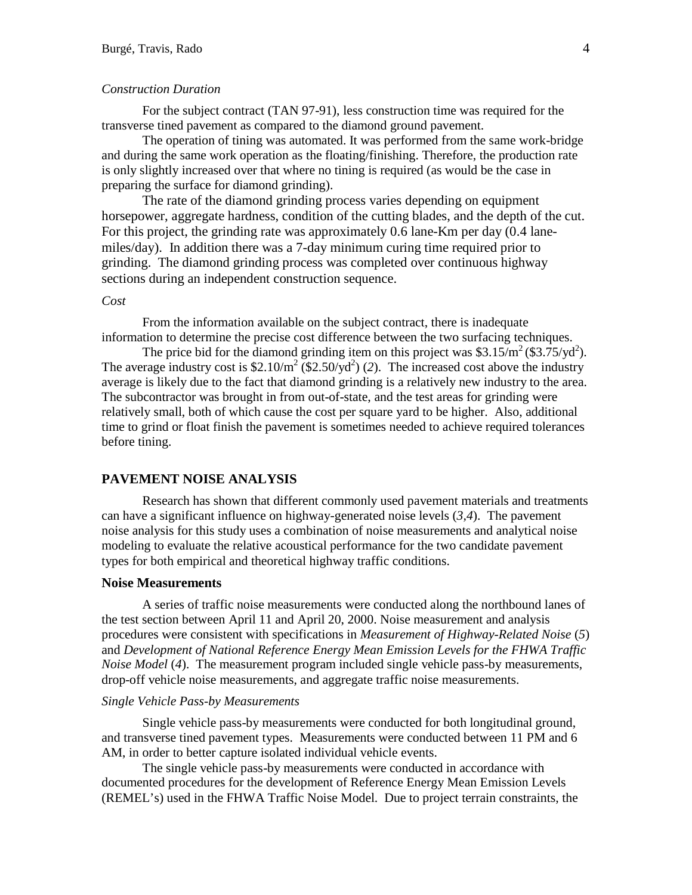#### *Construction Duration*

For the subject contract (TAN 97-91), less construction time was required for the transverse tined pavement as compared to the diamond ground pavement.

The operation of tining was automated. It was performed from the same work-bridge and during the same work operation as the floating/finishing. Therefore, the production rate is only slightly increased over that where no tining is required (as would be the case in preparing the surface for diamond grinding).

The rate of the diamond grinding process varies depending on equipment horsepower, aggregate hardness, condition of the cutting blades, and the depth of the cut. For this project, the grinding rate was approximately 0.6 lane-Km per day (0.4 lanemiles/day). In addition there was a 7-day minimum curing time required prior to grinding. The diamond grinding process was completed over continuous highway sections during an independent construction sequence.

#### *Cost*

From the information available on the subject contract, there is inadequate information to determine the precise cost difference between the two surfacing techniques.

The price bid for the diamond grinding item on this project was \$3.15/ $\text{m}^2$  (\$3.75/yd<sup>2</sup>). The average industry cost is  $$2.10/m^2$  (\$2.50/yd<sup>2</sup>) (2). The increased cost above the industry average is likely due to the fact that diamond grinding is a relatively new industry to the area. The subcontractor was brought in from out-of-state, and the test areas for grinding were relatively small, both of which cause the cost per square yard to be higher. Also, additional time to grind or float finish the pavement is sometimes needed to achieve required tolerances before tining.

## **PAVEMENT NOISE ANALYSIS**

Research has shown that different commonly used pavement materials and treatments can have a significant influence on highway-generated noise levels (*3,4*). The pavement noise analysis for this study uses a combination of noise measurements and analytical noise modeling to evaluate the relative acoustical performance for the two candidate pavement types for both empirical and theoretical highway traffic conditions.

#### **Noise Measurements**

A series of traffic noise measurements were conducted along the northbound lanes of the test section between April 11 and April 20, 2000. Noise measurement and analysis procedures were consistent with specifications in *Measurement of Highway-Related Noise* (*5*) and *Development of National Reference Energy Mean Emission Levels for the FHWA Traffic Noise Model* (*4*). The measurement program included single vehicle pass-by measurements, drop-off vehicle noise measurements, and aggregate traffic noise measurements.

#### *Single Vehicle Pass-by Measurements*

Single vehicle pass-by measurements were conducted for both longitudinal ground, and transverse tined pavement types. Measurements were conducted between 11 PM and 6 AM, in order to better capture isolated individual vehicle events.

The single vehicle pass-by measurements were conducted in accordance with documented procedures for the development of Reference Energy Mean Emission Levels (REMEL's) used in the FHWA Traffic Noise Model. Due to project terrain constraints, the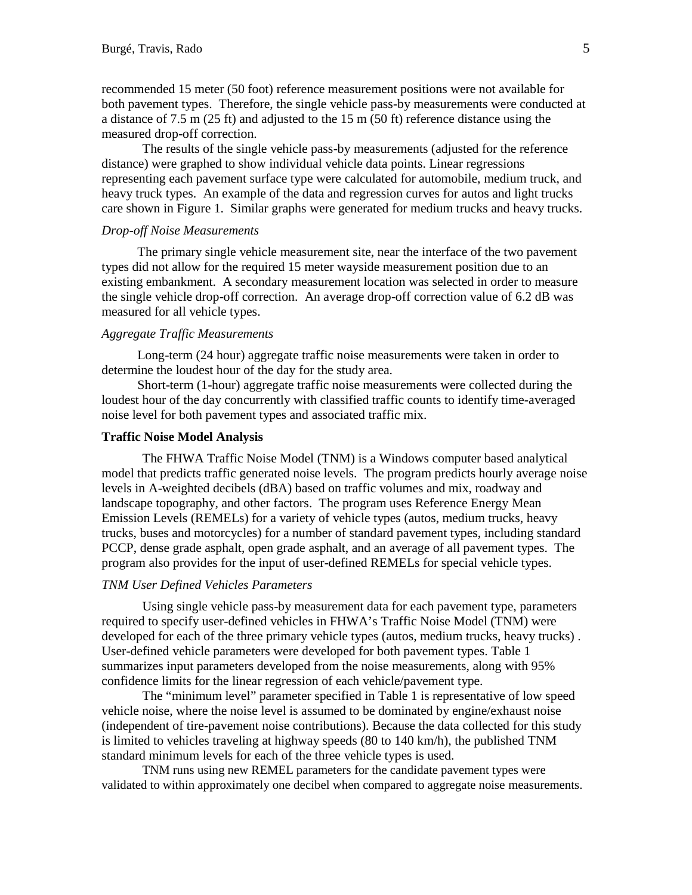recommended 15 meter (50 foot) reference measurement positions were not available for both pavement types. Therefore, the single vehicle pass-by measurements were conducted at a distance of 7.5 m (25 ft) and adjusted to the 15 m (50 ft) reference distance using the measured drop-off correction.

The results of the single vehicle pass-by measurements (adjusted for the reference distance) were graphed to show individual vehicle data points. Linear regressions representing each pavement surface type were calculated for automobile, medium truck, and heavy truck types. An example of the data and regression curves for autos and light trucks care shown in Figure 1. Similar graphs were generated for medium trucks and heavy trucks.

## *Drop-off Noise Measurements*

The primary single vehicle measurement site, near the interface of the two pavement types did not allow for the required 15 meter wayside measurement position due to an existing embankment. A secondary measurement location was selected in order to measure the single vehicle drop-off correction. An average drop-off correction value of 6.2 dB was measured for all vehicle types.

#### *Aggregate Traffic Measurements*

Long-term (24 hour) aggregate traffic noise measurements were taken in order to determine the loudest hour of the day for the study area.

Short-term (1-hour) aggregate traffic noise measurements were collected during the loudest hour of the day concurrently with classified traffic counts to identify time-averaged noise level for both pavement types and associated traffic mix.

#### **Traffic Noise Model Analysis**

The FHWA Traffic Noise Model (TNM) is a Windows computer based analytical model that predicts traffic generated noise levels. The program predicts hourly average noise levels in A-weighted decibels (dBA) based on traffic volumes and mix, roadway and landscape topography, and other factors. The program uses Reference Energy Mean Emission Levels (REMELs) for a variety of vehicle types (autos, medium trucks, heavy trucks, buses and motorcycles) for a number of standard pavement types, including standard PCCP, dense grade asphalt, open grade asphalt, and an average of all pavement types. The program also provides for the input of user-defined REMELs for special vehicle types.

## *TNM User Defined Vehicles Parameters*

Using single vehicle pass-by measurement data for each pavement type, parameters required to specify user-defined vehicles in FHWA's Traffic Noise Model (TNM) were developed for each of the three primary vehicle types (autos, medium trucks, heavy trucks) . User-defined vehicle parameters were developed for both pavement types. Table 1 summarizes input parameters developed from the noise measurements, along with 95% confidence limits for the linear regression of each vehicle/pavement type.

The "minimum level" parameter specified in Table 1 is representative of low speed vehicle noise, where the noise level is assumed to be dominated by engine/exhaust noise (independent of tire-pavement noise contributions). Because the data collected for this study is limited to vehicles traveling at highway speeds (80 to 140 km/h), the published TNM standard minimum levels for each of the three vehicle types is used.

TNM runs using new REMEL parameters for the candidate pavement types were validated to within approximately one decibel when compared to aggregate noise measurements.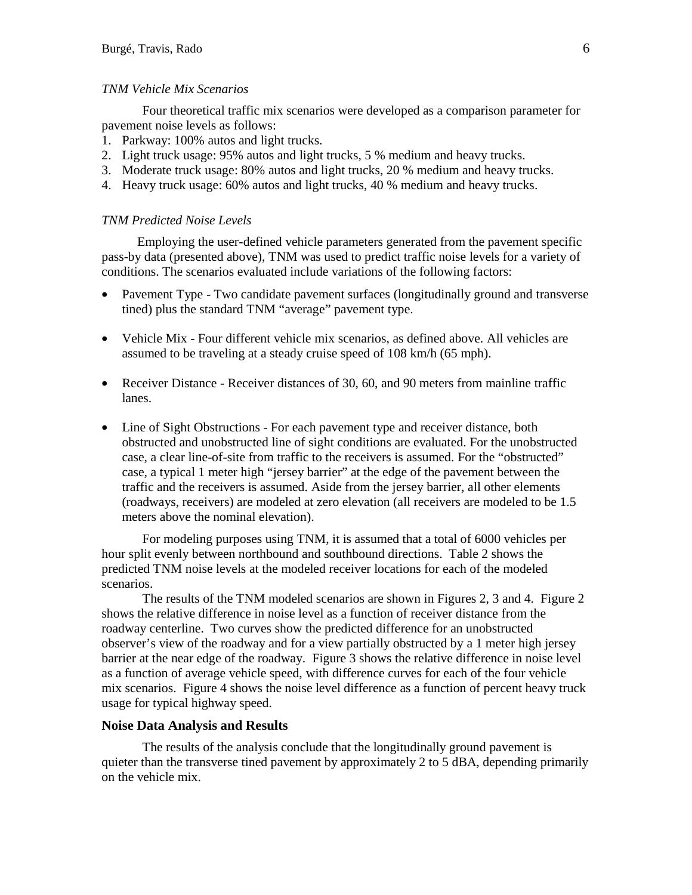#### *TNM Vehicle Mix Scenarios*

Four theoretical traffic mix scenarios were developed as a comparison parameter for pavement noise levels as follows:

- 1. Parkway: 100% autos and light trucks.
- 2. Light truck usage: 95% autos and light trucks, 5 % medium and heavy trucks.
- 3. Moderate truck usage: 80% autos and light trucks, 20 % medium and heavy trucks.
- 4. Heavy truck usage: 60% autos and light trucks, 40 % medium and heavy trucks.

#### *TNM Predicted Noise Levels*

Employing the user-defined vehicle parameters generated from the pavement specific pass-by data (presented above), TNM was used to predict traffic noise levels for a variety of conditions. The scenarios evaluated include variations of the following factors:

- Pavement Type Two candidate pavement surfaces (longitudinally ground and transverse tined) plus the standard TNM "average" pavement type.
- Vehicle Mix Four different vehicle mix scenarios, as defined above. All vehicles are assumed to be traveling at a steady cruise speed of 108 km/h (65 mph).
- Receiver Distance Receiver distances of 30, 60, and 90 meters from mainline traffic lanes.
- Line of Sight Obstructions For each pavement type and receiver distance, both obstructed and unobstructed line of sight conditions are evaluated. For the unobstructed case, a clear line-of-site from traffic to the receivers is assumed. For the "obstructed" case, a typical 1 meter high "jersey barrier" at the edge of the pavement between the traffic and the receivers is assumed. Aside from the jersey barrier, all other elements (roadways, receivers) are modeled at zero elevation (all receivers are modeled to be 1.5 meters above the nominal elevation).

For modeling purposes using TNM, it is assumed that a total of 6000 vehicles per hour split evenly between northbound and southbound directions. Table 2 shows the predicted TNM noise levels at the modeled receiver locations for each of the modeled scenarios.

The results of the TNM modeled scenarios are shown in Figures 2, 3 and 4. Figure 2 shows the relative difference in noise level as a function of receiver distance from the roadway centerline. Two curves show the predicted difference for an unobstructed observer's view of the roadway and for a view partially obstructed by a 1 meter high jersey barrier at the near edge of the roadway. Figure 3 shows the relative difference in noise level as a function of average vehicle speed, with difference curves for each of the four vehicle mix scenarios. Figure 4 shows the noise level difference as a function of percent heavy truck usage for typical highway speed.

#### **Noise Data Analysis and Results**

The results of the analysis conclude that the longitudinally ground pavement is quieter than the transverse tined pavement by approximately 2 to 5 dBA, depending primarily on the vehicle mix.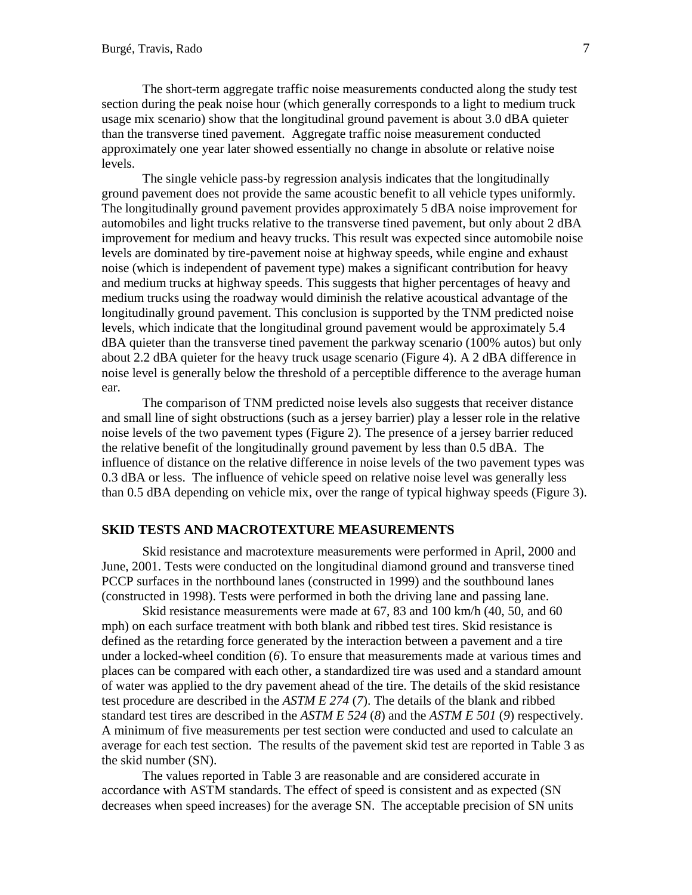The short-term aggregate traffic noise measurements conducted along the study test section during the peak noise hour (which generally corresponds to a light to medium truck usage mix scenario) show that the longitudinal ground pavement is about 3.0 dBA quieter than the transverse tined pavement. Aggregate traffic noise measurement conducted approximately one year later showed essentially no change in absolute or relative noise levels.

The single vehicle pass-by regression analysis indicates that the longitudinally ground pavement does not provide the same acoustic benefit to all vehicle types uniformly. The longitudinally ground pavement provides approximately 5 dBA noise improvement for automobiles and light trucks relative to the transverse tined pavement, but only about 2 dBA improvement for medium and heavy trucks. This result was expected since automobile noise levels are dominated by tire-pavement noise at highway speeds, while engine and exhaust noise (which is independent of pavement type) makes a significant contribution for heavy and medium trucks at highway speeds. This suggests that higher percentages of heavy and medium trucks using the roadway would diminish the relative acoustical advantage of the longitudinally ground pavement. This conclusion is supported by the TNM predicted noise levels, which indicate that the longitudinal ground pavement would be approximately 5.4 dBA quieter than the transverse tined pavement the parkway scenario (100% autos) but only about 2.2 dBA quieter for the heavy truck usage scenario (Figure 4). A 2 dBA difference in noise level is generally below the threshold of a perceptible difference to the average human ear.

The comparison of TNM predicted noise levels also suggests that receiver distance and small line of sight obstructions (such as a jersey barrier) play a lesser role in the relative noise levels of the two pavement types (Figure 2). The presence of a jersey barrier reduced the relative benefit of the longitudinally ground pavement by less than 0.5 dBA. The influence of distance on the relative difference in noise levels of the two pavement types was 0.3 dBA or less. The influence of vehicle speed on relative noise level was generally less than 0.5 dBA depending on vehicle mix, over the range of typical highway speeds (Figure 3).

## **SKID TESTS AND MACROTEXTURE MEASUREMENTS**

Skid resistance and macrotexture measurements were performed in April, 2000 and June, 2001. Tests were conducted on the longitudinal diamond ground and transverse tined PCCP surfaces in the northbound lanes (constructed in 1999) and the southbound lanes (constructed in 1998). Tests were performed in both the driving lane and passing lane.

Skid resistance measurements were made at 67, 83 and 100 km/h (40, 50, and 60 mph) on each surface treatment with both blank and ribbed test tires. Skid resistance is defined as the retarding force generated by the interaction between a pavement and a tire under a locked-wheel condition (*6*). To ensure that measurements made at various times and places can be compared with each other, a standardized tire was used and a standard amount of water was applied to the dry pavement ahead of the tire. The details of the skid resistance test procedure are described in the *ASTM E 274* (*7*). The details of the blank and ribbed standard test tires are described in the *ASTM E 524* (*8*) and the *ASTM E 501* (*9*) respectively. A minimum of five measurements per test section were conducted and used to calculate an average for each test section. The results of the pavement skid test are reported in Table 3 as the skid number (SN).

The values reported in Table 3 are reasonable and are considered accurate in accordance with ASTM standards. The effect of speed is consistent and as expected (SN decreases when speed increases) for the average SN. The acceptable precision of SN units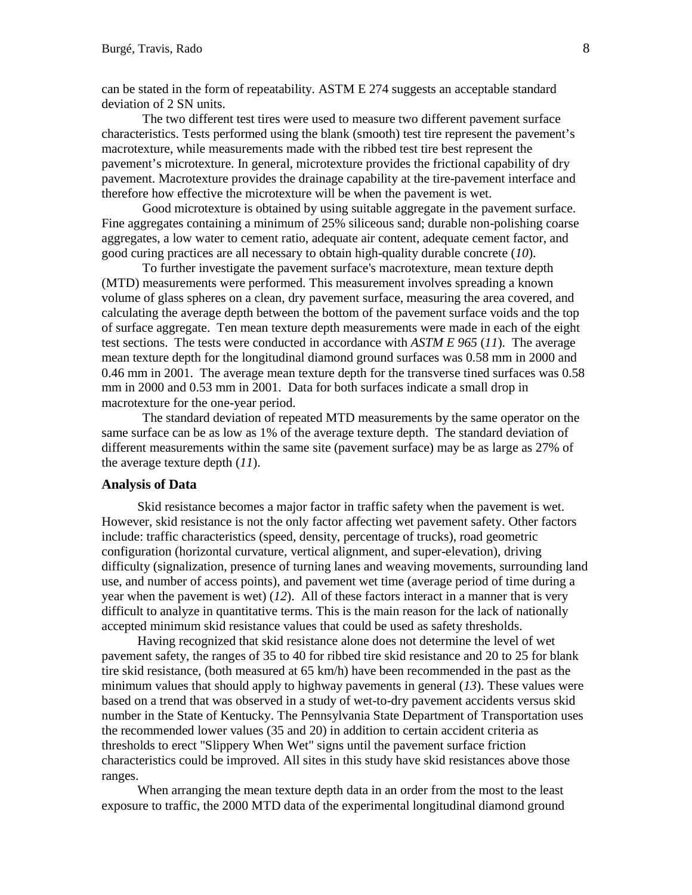can be stated in the form of repeatability. ASTM E 274 suggests an acceptable standard deviation of 2 SN units.

The two different test tires were used to measure two different pavement surface characteristics. Tests performed using the blank (smooth) test tire represent the pavement's macrotexture, while measurements made with the ribbed test tire best represent the pavement's microtexture. In general, microtexture provides the frictional capability of dry pavement. Macrotexture provides the drainage capability at the tire-pavement interface and therefore how effective the microtexture will be when the pavement is wet.

Good microtexture is obtained by using suitable aggregate in the pavement surface. Fine aggregates containing a minimum of 25% siliceous sand; durable non-polishing coarse aggregates, a low water to cement ratio, adequate air content, adequate cement factor, and good curing practices are all necessary to obtain high-quality durable concrete (*10*).

To further investigate the pavement surface's macrotexture, mean texture depth (MTD) measurements were performed. This measurement involves spreading a known volume of glass spheres on a clean, dry pavement surface, measuring the area covered, and calculating the average depth between the bottom of the pavement surface voids and the top of surface aggregate. Ten mean texture depth measurements were made in each of the eight test sections. The tests were conducted in accordance with *ASTM E 965* (*11*). The average mean texture depth for the longitudinal diamond ground surfaces was 0.58 mm in 2000 and 0.46 mm in 2001. The average mean texture depth for the transverse tined surfaces was 0.58 mm in 2000 and 0.53 mm in 2001. Data for both surfaces indicate a small drop in macrotexture for the one-year period.

The standard deviation of repeated MTD measurements by the same operator on the same surface can be as low as 1% of the average texture depth. The standard deviation of different measurements within the same site (pavement surface) may be as large as 27% of the average texture depth (*11*).

#### **Analysis of Data**

Skid resistance becomes a major factor in traffic safety when the pavement is wet. However, skid resistance is not the only factor affecting wet pavement safety. Other factors include: traffic characteristics (speed, density, percentage of trucks), road geometric configuration (horizontal curvature, vertical alignment, and super-elevation), driving difficulty (signalization, presence of turning lanes and weaving movements, surrounding land use, and number of access points), and pavement wet time (average period of time during a year when the pavement is wet) (*12*). All of these factors interact in a manner that is very difficult to analyze in quantitative terms. This is the main reason for the lack of nationally accepted minimum skid resistance values that could be used as safety thresholds.

Having recognized that skid resistance alone does not determine the level of wet pavement safety, the ranges of 35 to 40 for ribbed tire skid resistance and 20 to 25 for blank tire skid resistance, (both measured at 65 km/h) have been recommended in the past as the minimum values that should apply to highway pavements in general (*13*). These values were based on a trend that was observed in a study of wet-to-dry pavement accidents versus skid number in the State of Kentucky. The Pennsylvania State Department of Transportation uses the recommended lower values (35 and 20) in addition to certain accident criteria as thresholds to erect "Slippery When Wet" signs until the pavement surface friction characteristics could be improved. All sites in this study have skid resistances above those ranges.

When arranging the mean texture depth data in an order from the most to the least exposure to traffic, the 2000 MTD data of the experimental longitudinal diamond ground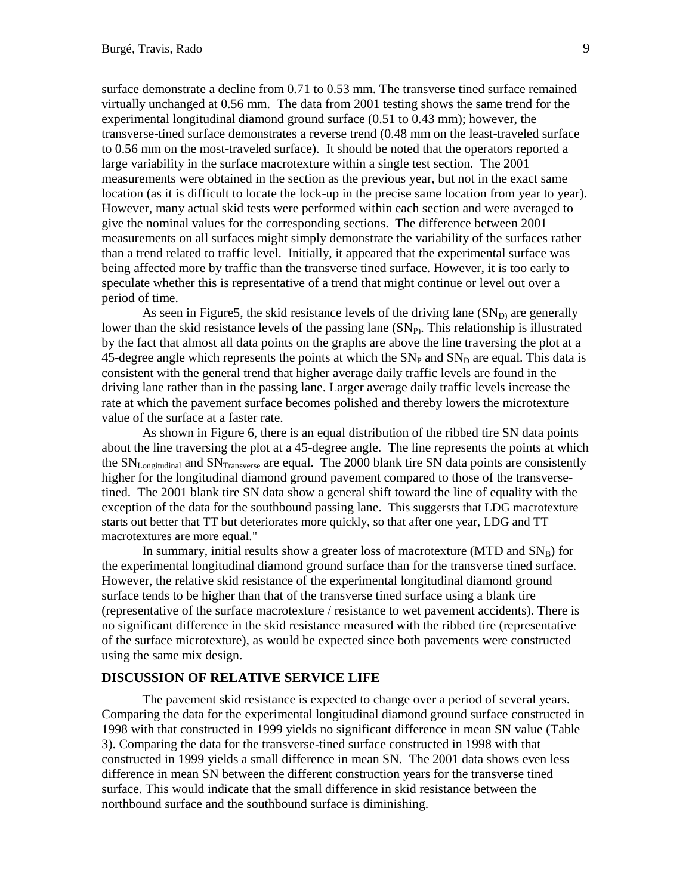surface demonstrate a decline from 0.71 to 0.53 mm. The transverse tined surface remained virtually unchanged at 0.56 mm. The data from 2001 testing shows the same trend for the experimental longitudinal diamond ground surface (0.51 to 0.43 mm); however, the transverse-tined surface demonstrates a reverse trend (0.48 mm on the least-traveled surface to 0.56 mm on the most-traveled surface). It should be noted that the operators reported a large variability in the surface macrotexture within a single test section. The 2001 measurements were obtained in the section as the previous year, but not in the exact same location (as it is difficult to locate the lock-up in the precise same location from year to year). However, many actual skid tests were performed within each section and were averaged to give the nominal values for the corresponding sections. The difference between 2001 measurements on all surfaces might simply demonstrate the variability of the surfaces rather than a trend related to traffic level. Initially, it appeared that the experimental surface was being affected more by traffic than the transverse tined surface. However, it is too early to speculate whether this is representative of a trend that might continue or level out over a period of time.

As seen in Figure5, the skid resistance levels of the driving lane  $(SN_D)$  are generally lower than the skid resistance levels of the passing lane  $(SN_{P})$ . This relationship is illustrated by the fact that almost all data points on the graphs are above the line traversing the plot at a 45-degree angle which represents the points at which the  $SN<sub>P</sub>$  and  $SN<sub>D</sub>$  are equal. This data is consistent with the general trend that higher average daily traffic levels are found in the driving lane rather than in the passing lane. Larger average daily traffic levels increase the rate at which the pavement surface becomes polished and thereby lowers the microtexture value of the surface at a faster rate.

As shown in Figure 6, there is an equal distribution of the ribbed tire SN data points about the line traversing the plot at a 45-degree angle. The line represents the points at which the SN<sub>Longitudinal</sub> and SN<sub>Transverse</sub> are equal. The 2000 blank tire SN data points are consistently higher for the longitudinal diamond ground pavement compared to those of the transversetined. The 2001 blank tire SN data show a general shift toward the line of equality with the exception of the data for the southbound passing lane. This suggersts that LDG macrotexture starts out better that TT but deteriorates more quickly, so that after one year, LDG and TT macrotextures are more equal."

In summary, initial results show a greater loss of macrotexture ( $MTD$  and  $SN_B$ ) for the experimental longitudinal diamond ground surface than for the transverse tined surface. However, the relative skid resistance of the experimental longitudinal diamond ground surface tends to be higher than that of the transverse tined surface using a blank tire (representative of the surface macrotexture / resistance to wet pavement accidents). There is no significant difference in the skid resistance measured with the ribbed tire (representative of the surface microtexture), as would be expected since both pavements were constructed using the same mix design.

#### **DISCUSSION OF RELATIVE SERVICE LIFE**

The pavement skid resistance is expected to change over a period of several years. Comparing the data for the experimental longitudinal diamond ground surface constructed in 1998 with that constructed in 1999 yields no significant difference in mean SN value (Table 3). Comparing the data for the transverse-tined surface constructed in 1998 with that constructed in 1999 yields a small difference in mean SN. The 2001 data shows even less difference in mean SN between the different construction years for the transverse tined surface. This would indicate that the small difference in skid resistance between the northbound surface and the southbound surface is diminishing.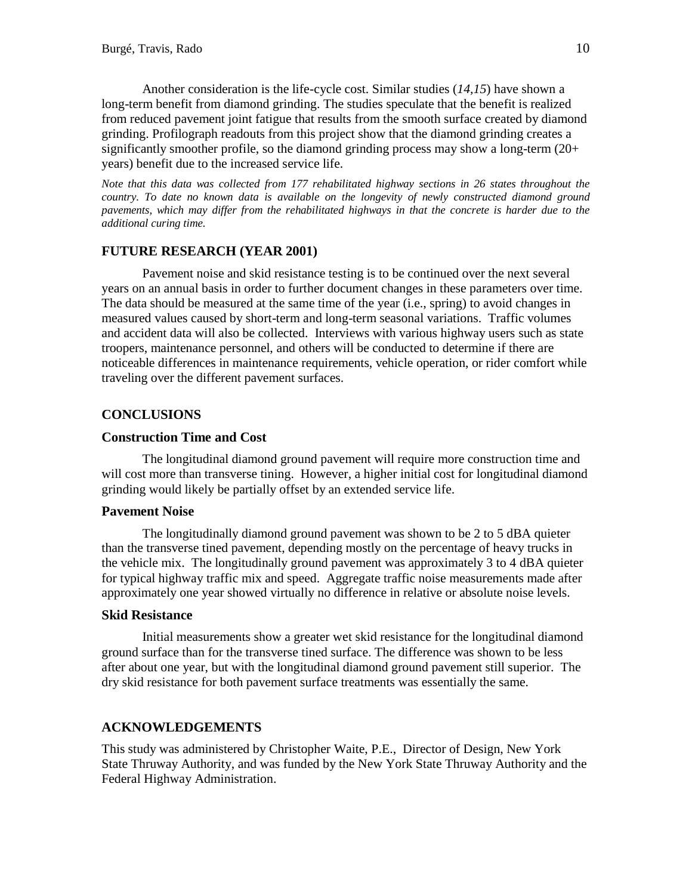Another consideration is the life-cycle cost. Similar studies (*14,15*) have shown a long-term benefit from diamond grinding. The studies speculate that the benefit is realized from reduced pavement joint fatigue that results from the smooth surface created by diamond grinding. Profilograph readouts from this project show that the diamond grinding creates a significantly smoother profile, so the diamond grinding process may show a long-term (20+ years) benefit due to the increased service life.

*Note that this data was collected from 177 rehabilitated highway sections in 26 states throughout the country. To date no known data is available on the longevity of newly constructed diamond ground pavements, which may differ from the rehabilitated highways in that the concrete is harder due to the additional curing time.* 

# **FUTURE RESEARCH (YEAR 2001)**

Pavement noise and skid resistance testing is to be continued over the next several years on an annual basis in order to further document changes in these parameters over time. The data should be measured at the same time of the year (i.e., spring) to avoid changes in measured values caused by short-term and long-term seasonal variations. Traffic volumes and accident data will also be collected. Interviews with various highway users such as state troopers, maintenance personnel, and others will be conducted to determine if there are noticeable differences in maintenance requirements, vehicle operation, or rider comfort while traveling over the different pavement surfaces.

## **CONCLUSIONS**

## **Construction Time and Cost**

The longitudinal diamond ground pavement will require more construction time and will cost more than transverse tining. However, a higher initial cost for longitudinal diamond grinding would likely be partially offset by an extended service life.

## **Pavement Noise**

The longitudinally diamond ground pavement was shown to be 2 to 5 dBA quieter than the transverse tined pavement, depending mostly on the percentage of heavy trucks in the vehicle mix. The longitudinally ground pavement was approximately 3 to 4 dBA quieter for typical highway traffic mix and speed. Aggregate traffic noise measurements made after approximately one year showed virtually no difference in relative or absolute noise levels.

## **Skid Resistance**

Initial measurements show a greater wet skid resistance for the longitudinal diamond ground surface than for the transverse tined surface. The difference was shown to be less after about one year, but with the longitudinal diamond ground pavement still superior. The dry skid resistance for both pavement surface treatments was essentially the same.

# **ACKNOWLEDGEMENTS**

This study was administered by Christopher Waite, P.E., Director of Design, New York State Thruway Authority, and was funded by the New York State Thruway Authority and the Federal Highway Administration.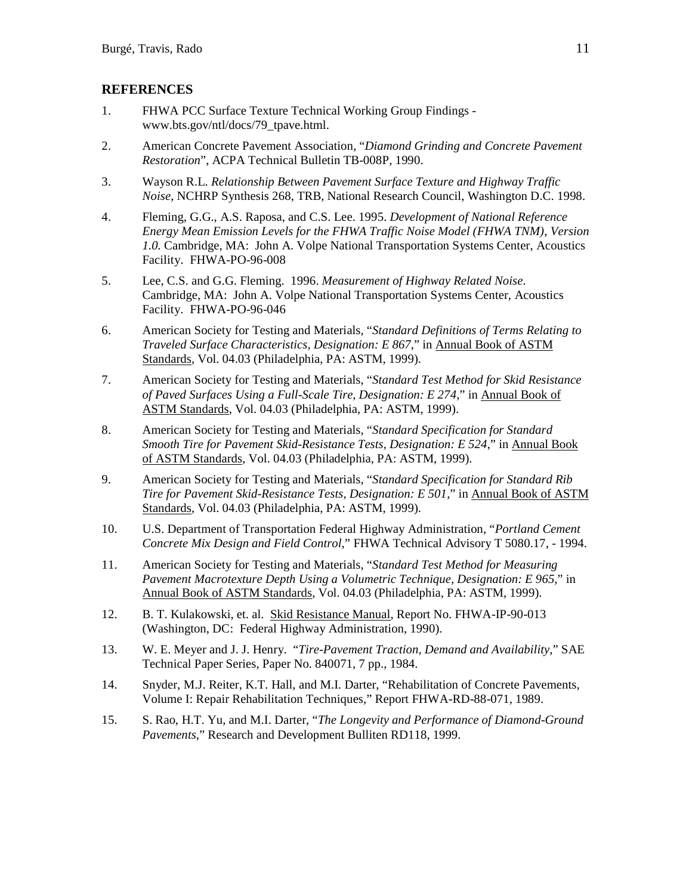# **REFERENCES**

- 1. FHWA PCC Surface Texture Technical Working Group Findings www.bts.gov/ntl/docs/79\_tpave.html.
- 2. American Concrete Pavement Association, "*Diamond Grinding and Concrete Pavement Restoration*", ACPA Technical Bulletin TB-008P, 1990.
- 3. Wayson R.L. *Relationship Between Pavement Surface Texture and Highway Traffic Noise*, NCHRP Synthesis 268, TRB, National Research Council, Washington D.C. 1998.
- 4. Fleming, G.G., A.S. Raposa, and C.S. Lee. 1995. *Development of National Reference Energy Mean Emission Levels for the FHWA Traffic Noise Model (FHWA TNM), Version 1.0.* Cambridge, MA: John A. Volpe National Transportation Systems Center, Acoustics Facility. FHWA-PO-96-008
- 5. Lee, C.S. and G.G. Fleming. 1996. *Measurement of Highway Related Noise*. Cambridge, MA: John A. Volpe National Transportation Systems Center, Acoustics Facility. FHWA-PO-96-046
- 6. American Society for Testing and Materials, "*Standard Definitions of Terms Relating to Traveled Surface Characteristics, Designation: E 867*," in Annual Book of ASTM Standards, Vol. 04.03 (Philadelphia, PA: ASTM, 1999).
- 7. American Society for Testing and Materials, "*Standard Test Method for Skid Resistance of Paved Surfaces Using a Full-Scale Tire, Designation: E 274*," in Annual Book of ASTM Standards, Vol. 04.03 (Philadelphia, PA: ASTM, 1999).
- 8. American Society for Testing and Materials, "*Standard Specification for Standard Smooth Tire for Pavement Skid-Resistance Tests, Designation: E 524*," in Annual Book of ASTM Standards, Vol. 04.03 (Philadelphia, PA: ASTM, 1999).
- 9. American Society for Testing and Materials, "*Standard Specification for Standard Rib Tire for Pavement Skid-Resistance Tests, Designation: E 501*," in Annual Book of ASTM Standards, Vol. 04.03 (Philadelphia, PA: ASTM, 1999).
- 10. U.S. Department of Transportation Federal Highway Administration, "*Portland Cement Concrete Mix Design and Field Control,*" FHWA Technical Advisory T 5080.17, - 1994.
- 11. American Society for Testing and Materials, "*Standard Test Method for Measuring Pavement Macrotexture Depth Using a Volumetric Technique, Designation: E 965*," in Annual Book of ASTM Standards, Vol. 04.03 (Philadelphia, PA: ASTM, 1999).
- 12. B. T. Kulakowski, et. al. Skid Resistance Manual, Report No. FHWA-IP-90-013 (Washington, DC: Federal Highway Administration, 1990).
- 13. W. E. Meyer and J. J. Henry. "*Tire-Pavement Traction, Demand and Availability*," SAE Technical Paper Series, Paper No. 840071, 7 pp., 1984.
- 14. Snyder, M.J. Reiter, K.T. Hall, and M.I. Darter, "Rehabilitation of Concrete Pavements, Volume I: Repair Rehabilitation Techniques," Report FHWA-RD-88-071, 1989.
- 15. S. Rao, H.T. Yu, and M.I. Darter, "*The Longevity and Performance of Diamond-Ground Pavements*," Research and Development Bulliten RD118, 1999.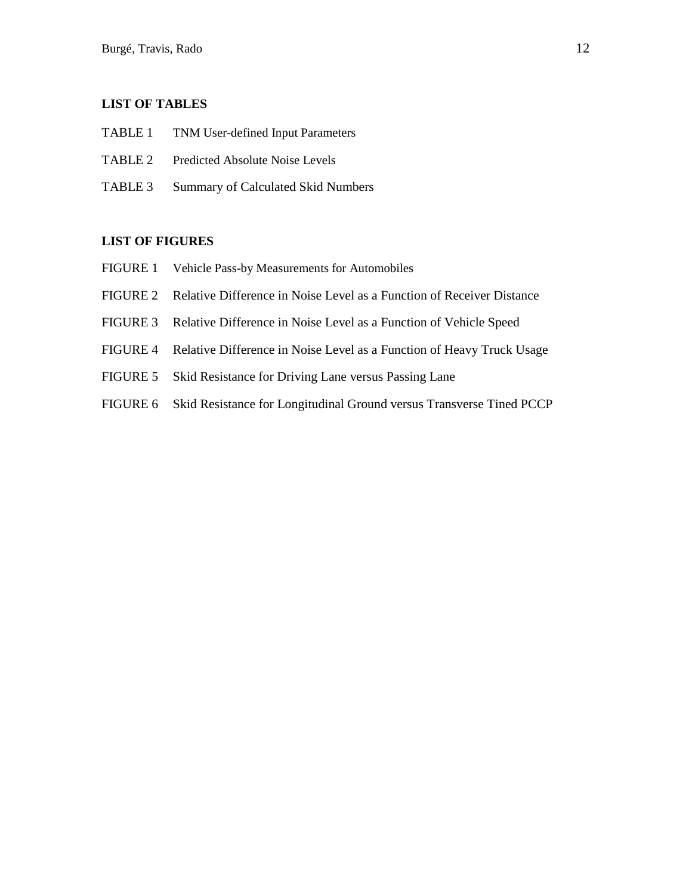## **LIST OF TABLES**

- TABLE 1 TNM User-defined Input Parameters
- TABLE 2 Predicted Absolute Noise Levels
- TABLE 3 Summary of Calculated Skid Numbers

# **LIST OF FIGURES**

- FIGURE 1 Vehicle Pass-by Measurements for Automobiles
- FIGURE 2 Relative Difference in Noise Level as a Function of Receiver Distance
- FIGURE 3 Relative Difference in Noise Level as a Function of Vehicle Speed
- FIGURE 4 Relative Difference in Noise Level as a Function of Heavy Truck Usage
- FIGURE 5 Skid Resistance for Driving Lane versus Passing Lane
- FIGURE 6 Skid Resistance for Longitudinal Ground versus Transverse Tined PCCP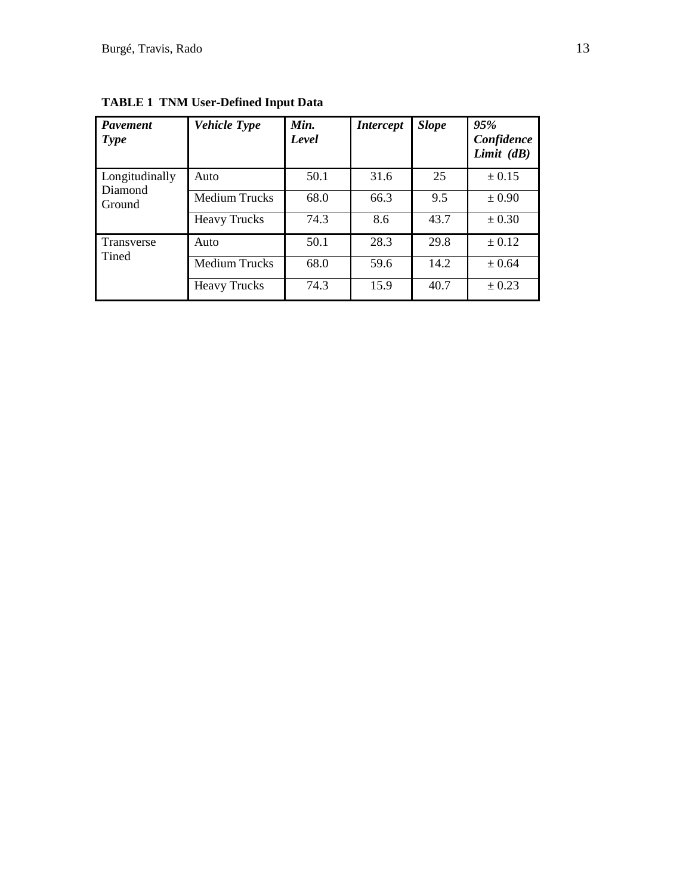| Pavement<br><b>Type</b> | <b>Vehicle Type</b>  | Min.<br>Level | <b>Intercept</b> | <b>Slope</b> | 95%<br>Confidence<br>Limit $(dB)$ |
|-------------------------|----------------------|---------------|------------------|--------------|-----------------------------------|
| Longitudinally          | Auto                 | 50.1          | 31.6             | 25           | $\pm 0.15$                        |
| Diamond<br>Ground       | <b>Medium Trucks</b> | 68.0          | 66.3             | 9.5          | $\pm 0.90$                        |
|                         | <b>Heavy Trucks</b>  | 74.3          | 8.6              | 43.7         | $\pm 0.30$                        |
| Transverse              | Auto                 | 50.1          | 28.3             | 29.8         | $\pm 0.12$                        |
| Tined                   | <b>Medium Trucks</b> | 68.0          | 59.6             | 14.2         | ± 0.64                            |
|                         | <b>Heavy Trucks</b>  | 74.3          | 15.9             | 40.7         | ± 0.23                            |

**TABLE 1 TNM User-Defined Input Data**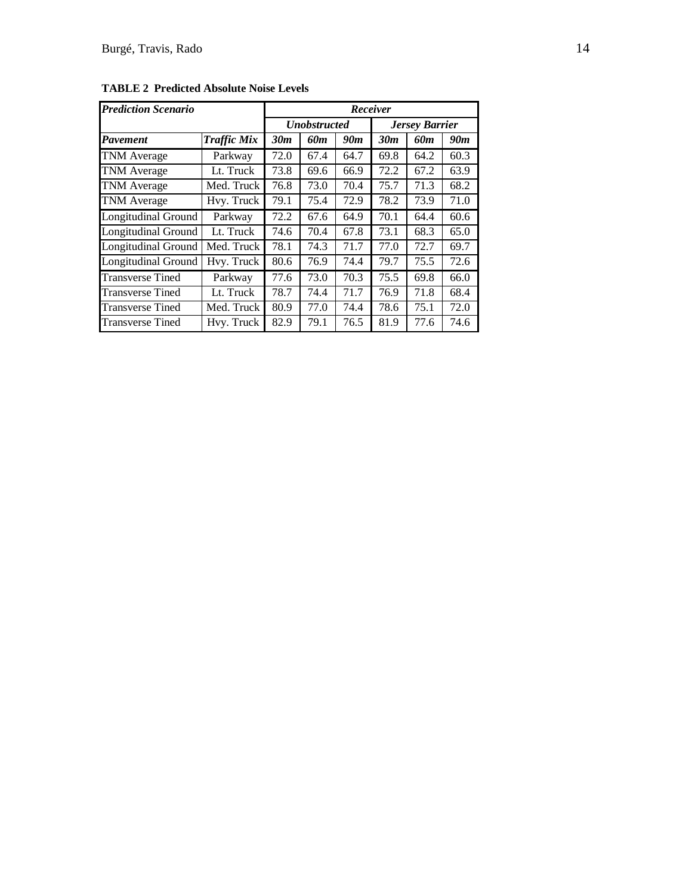| <b>Prediction Scenario</b> | Receiver           |                     |      |                       |      |      |            |  |
|----------------------------|--------------------|---------------------|------|-----------------------|------|------|------------|--|
|                            |                    | <b>Unobstructed</b> |      | <b>Jersey Barrier</b> |      |      |            |  |
| Pavement                   | <b>Traffic Mix</b> | 30 <sub>m</sub>     | 60m  | <b>90m</b>            | 30m  | 60m  | <b>90m</b> |  |
| <b>TNM</b> Average         | Parkway            | 72.0                | 67.4 | 64.7                  | 69.8 | 64.2 | 60.3       |  |
| <b>TNM</b> Average         | Lt. Truck          | 73.8                | 69.6 | 66.9                  | 72.2 | 67.2 | 63.9       |  |
| <b>TNM</b> Average         | Med. Truck         | 76.8                | 73.0 | 70.4                  | 75.7 | 71.3 | 68.2       |  |
| <b>TNM</b> Average         | Hvy. Truck         | 79.1                | 75.4 | 72.9                  | 78.2 | 73.9 | 71.0       |  |
| Longitudinal Ground        | Parkway            | 72.2                | 67.6 | 64.9                  | 70.1 | 64.4 | 60.6       |  |
| <b>Longitudinal Ground</b> | Lt. Truck          | 74.6                | 70.4 | 67.8                  | 73.1 | 68.3 | 65.0       |  |
| Longitudinal Ground        | Med. Truck         | 78.1                | 74.3 | 71.7                  | 77.0 | 72.7 | 69.7       |  |
| Longitudinal Ground        | Hvy. Truck         | 80.6                | 76.9 | 74.4                  | 79.7 | 75.5 | 72.6       |  |
| <b>Transverse Tined</b>    | Parkway            | 77.6                | 73.0 | 70.3                  | 75.5 | 69.8 | 66.0       |  |
| <b>Transverse Tined</b>    | Lt. Truck          | 78.7                | 74.4 | 71.7                  | 76.9 | 71.8 | 68.4       |  |
| <b>Transverse Tined</b>    | Med. Truck         | 80.9                | 77.0 | 74.4                  | 78.6 | 75.1 | 72.0       |  |
| <b>Transverse Tined</b>    | Hvy. Truck         | 82.9                | 79.1 | 76.5                  | 81.9 | 77.6 | 74.6       |  |

**TABLE 2 Predicted Absolute Noise Levels**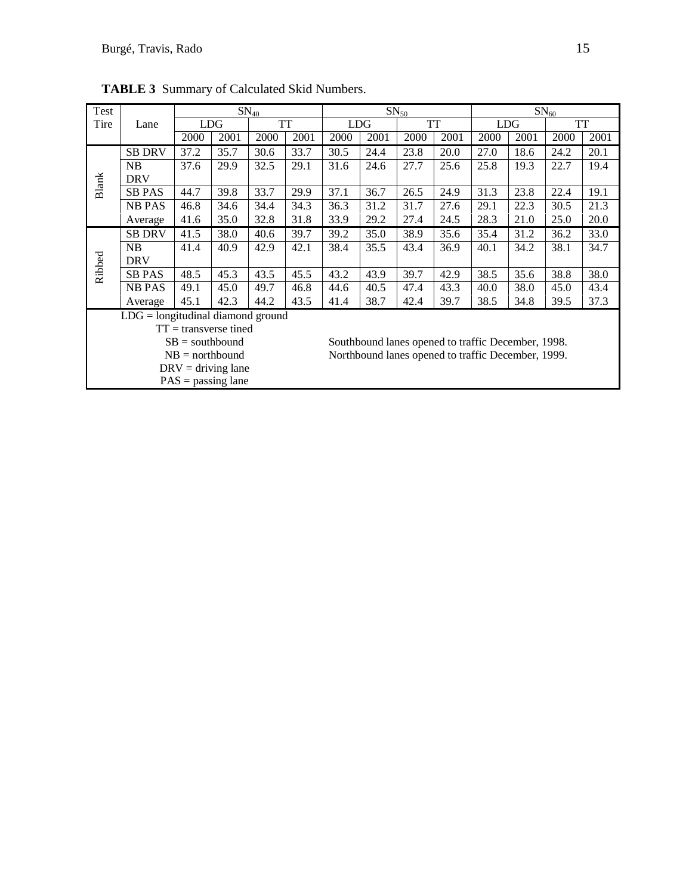| Test                           |                                     | $SN_{40}$  |      |           | $SN_{50}$ |                                                    |      |           | $\text{SN}_{60}$ |            |      |           |      |
|--------------------------------|-------------------------------------|------------|------|-----------|-----------|----------------------------------------------------|------|-----------|------------------|------------|------|-----------|------|
| Tire<br>Lane                   |                                     | <b>LDG</b> |      | <b>TT</b> |           | <b>LDG</b>                                         |      | <b>TT</b> |                  | <b>LDG</b> |      | <b>TT</b> |      |
|                                |                                     | 2000       | 2001 | 2000      | 2001      | 2000                                               | 2001 | 2000      | 2001             | 2000       | 2001 | 2000      | 2001 |
| <b>Blank</b>                   | <b>SB DRV</b>                       | 37.2       | 35.7 | 30.6      | 33.7      | 30.5                                               | 24.4 | 23.8      | 20.0             | 27.0       | 18.6 | 24.2      | 20.1 |
|                                | NB                                  | 37.6       | 29.9 | 32.5      | 29.1      | 31.6                                               | 24.6 | 27.7      | 25.6             | 25.8       | 19.3 | 22.7      | 19.4 |
|                                | <b>DRV</b>                          |            |      |           |           |                                                    |      |           |                  |            |      |           |      |
|                                | <b>SB PAS</b>                       | 44.7       | 39.8 | 33.7      | 29.9      | 37.1                                               | 36.7 | 26.5      | 24.9             | 31.3       | 23.8 | 22.4      | 19.1 |
|                                | <b>NB PAS</b>                       | 46.8       | 34.6 | 34.4      | 34.3      | 36.3                                               | 31.2 | 31.7      | 27.6             | 29.1       | 22.3 | 30.5      | 21.3 |
|                                | Average                             | 41.6       | 35.0 | 32.8      | 31.8      | 33.9                                               | 29.2 | 27.4      | 24.5             | 28.3       | 21.0 | 25.0      | 20.0 |
| Ribbed                         | <b>SB DRV</b>                       | 41.5       | 38.0 | 40.6      | 39.7      | 39.2                                               | 35.0 | 38.9      | 35.6             | 35.4       | 31.2 | 36.2      | 33.0 |
|                                | NB                                  | 41.4       | 40.9 | 42.9      | 42.1      | 38.4                                               | 35.5 | 43.4      | 36.9             | 40.1       | 34.2 | 38.1      | 34.7 |
|                                | <b>DRV</b>                          |            |      |           |           |                                                    |      |           |                  |            |      |           |      |
|                                | <b>SB PAS</b>                       | 48.5       | 45.3 | 43.5      | 45.5      | 43.2                                               | 43.9 | 39.7      | 42.9             | 38.5       | 35.6 | 38.8      | 38.0 |
|                                | <b>NB PAS</b>                       | 49.1       | 45.0 | 49.7      | 46.8      | 44.6                                               | 40.5 | 47.4      | 43.3             | 40.0       | 38.0 | 45.0      | 43.4 |
|                                | Average                             | 45.1       | 42.3 | 44.2      | 43.5      | 41.4                                               | 38.7 | 42.4      | 39.7             | 38.5       | 34.8 | 39.5      | 37.3 |
|                                | $LDG = longitudinal diamond$ ground |            |      |           |           |                                                    |      |           |                  |            |      |           |      |
| $TT = \text{transverse}$ tined |                                     |            |      |           |           |                                                    |      |           |                  |            |      |           |      |
| $SB = southbound$              |                                     |            |      |           |           | Southbound lanes opened to traffic December, 1998. |      |           |                  |            |      |           |      |
| $NB = northbound$              |                                     |            |      |           |           | Northbound lanes opened to traffic December, 1999. |      |           |                  |            |      |           |      |
| $DRV = driving$ lane           |                                     |            |      |           |           |                                                    |      |           |                  |            |      |           |      |
|                                | $PAS = passing$ lane                |            |      |           |           |                                                    |      |           |                  |            |      |           |      |

**TABLE 3** Summary of Calculated Skid Numbers.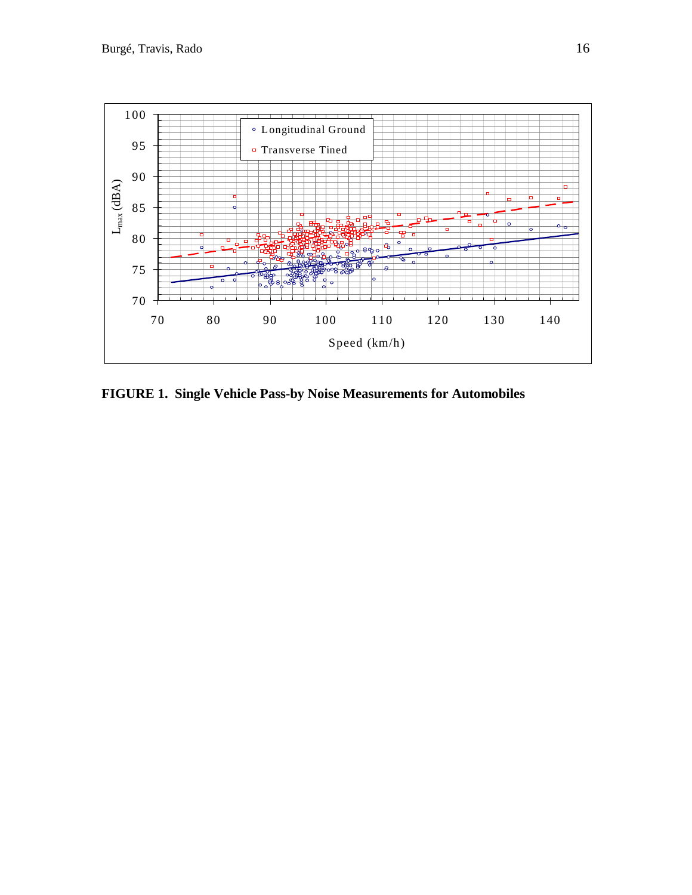

**FIGURE 1. Single Vehicle Pass-by Noise Measurements for Automobiles**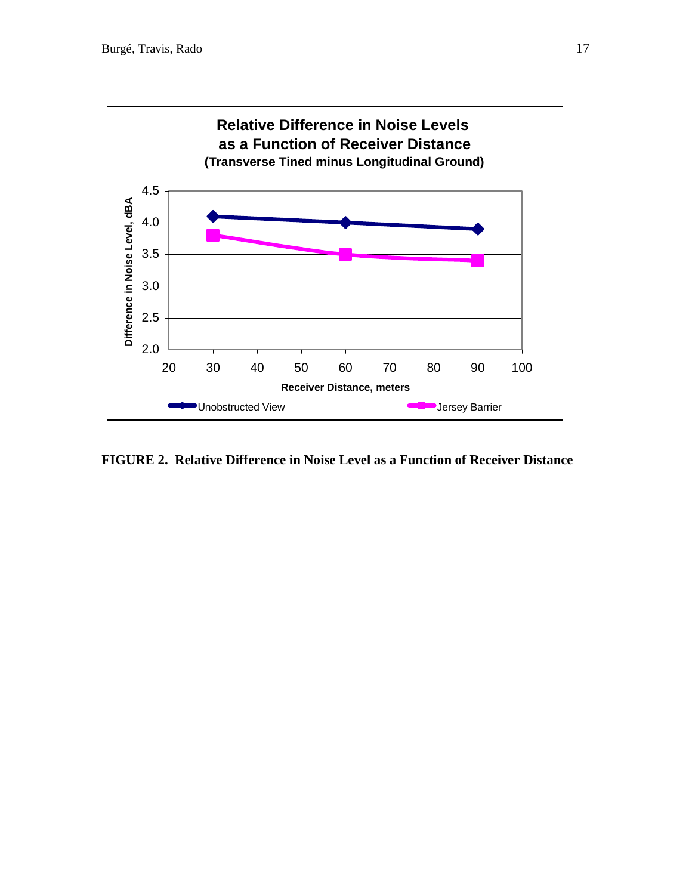

**FIGURE 2. Relative Difference in Noise Level as a Function of Receiver Distance**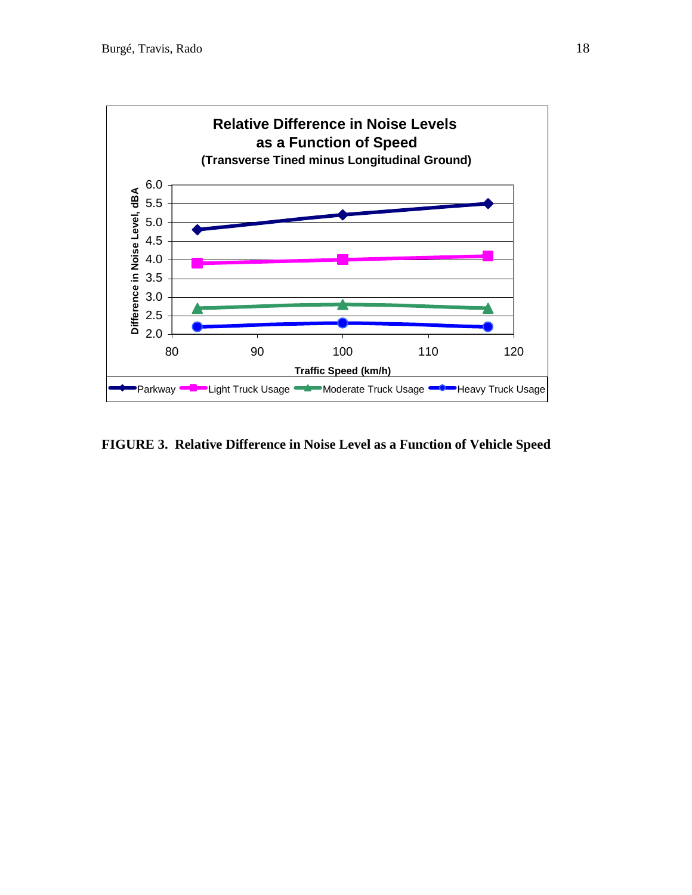

**FIGURE 3. Relative Difference in Noise Level as a Function of Vehicle Speed**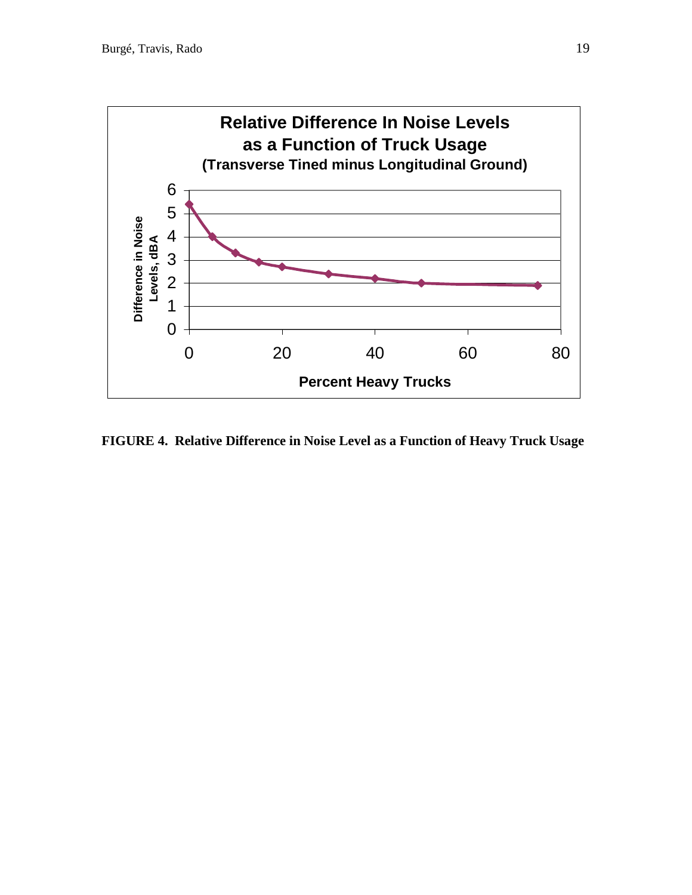

**FIGURE 4. Relative Difference in Noise Level as a Function of Heavy Truck Usage**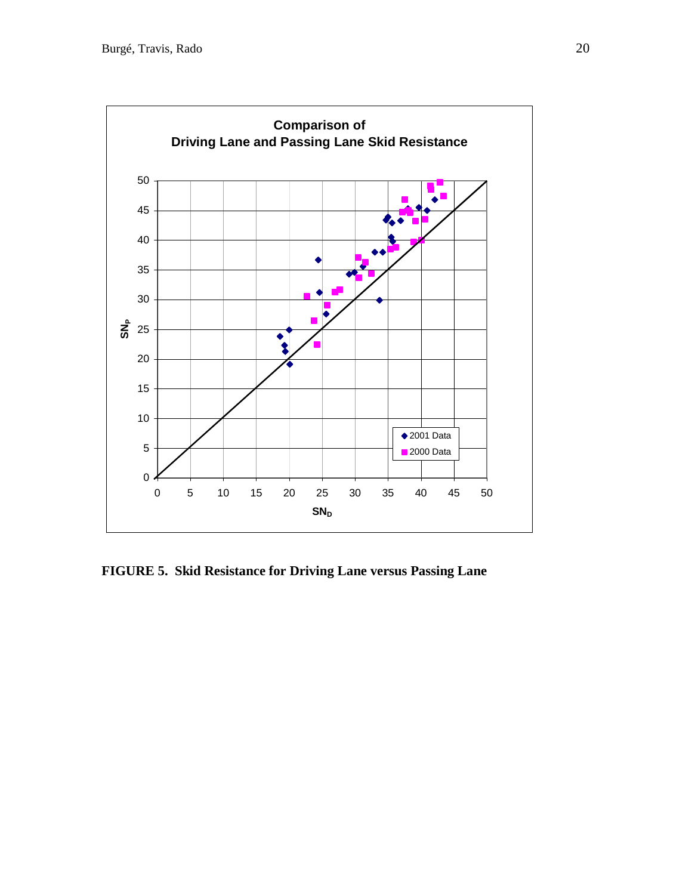

**FIGURE 5. Skid Resistance for Driving Lane versus Passing Lane**